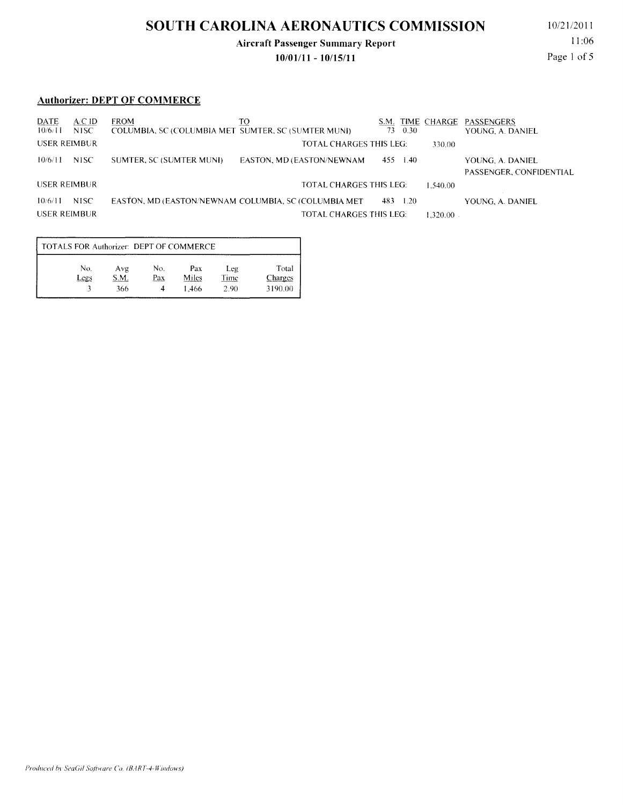# **SOUTH CAROLINA AERONAUTICS COMMISSION**

### **Aircraft Passenger Summary Report**

**10/01111- 10/15/11** 

10/21/2011 11:06 Page 1 of 5

#### **Authorizer: DEPT OF COMMERCE**

| DATE<br>10/6/11     | ACID<br>NISC. | <b>FROM</b><br>COLUMBIA, SC (COLUMBIA MET SUMTER, SC (SUMTER MUNI) | TO                                                    | S.M.<br>73. | TIME CHARGE PASSENGERS<br>0.30 | YOUNG, A. DANIEL                            |
|---------------------|---------------|--------------------------------------------------------------------|-------------------------------------------------------|-------------|--------------------------------|---------------------------------------------|
| <b>USER REIMBUR</b> |               |                                                                    | <b>TOTAL CHARGES THIS LEG:</b>                        |             | 330.00                         |                                             |
| 10/6/11             | NISC.         | SUMTER, SC (SUMTER MUNI)                                           | EASTON, MD (EASTON/NEWNAM)                            | 455         | 1.40                           | YOUNG, A. DANIEL<br>PASSENGER, CONFIDENTIAL |
| USER REIMBUR        |               |                                                                    | TOTAL CHARGES THIS LEG:                               |             | 1.540.00                       |                                             |
| 10/6/11             | NISC.         |                                                                    | EASTON, MD (EASTON/NEWNAM COLUMBIA, SC (COLUMBIA MET) | 483 1.20    |                                | YOUNG, A. DANIEL                            |
| <b>USER REIMBUR</b> |               |                                                                    | TOTAL CHARGES THIS LEG:                               |             | $1.320.00$ .                   |                                             |

| TOTALS FOR Authorizer: DEPT OF COMMERCE |             |             |            |              |                    |                  |  |  |  |
|-----------------------------------------|-------------|-------------|------------|--------------|--------------------|------------------|--|--|--|
|                                         | No.<br>Legs | Avg<br>S.M. | No.<br>Pax | Pax<br>Miles | Leg<br><b>Time</b> | Total<br>Charges |  |  |  |
|                                         |             | 366         |            | 1.466        | 2.90               | 3190.00          |  |  |  |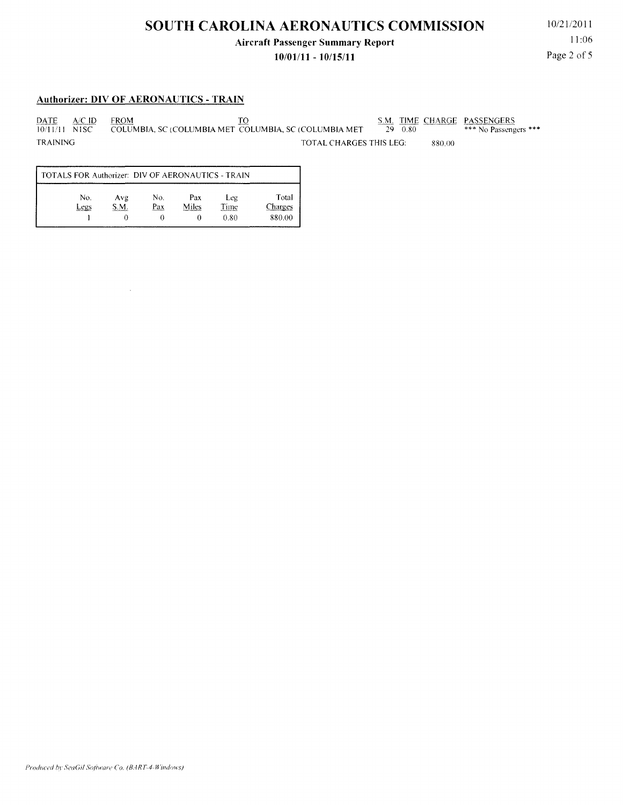#### **Aircraft Passenger Summary Report**

#### **10/01111 - 10/15/11**

10/21/2011 11:06 Page 2 of 5

#### **Authorizer: DIV OF AERONAUTICS - TRAIN**

 $\mathbb{Z}^2$ 

PATE *NC* ID FROM TO S.M. TIME CHARGE PASSENGERS 10/11/11 NISC COLUMBIA, SC (COLUMBIA MET COLUMBIA, SC (COLUMBIA MET 29 0.80 \*\*\* No Passengers \*\*\* TOTAL CHARGES THIS LEG: 880.00

| TOTALS FOR Authorizer: DIV OF AERONAUTICS - TRAIN |             |            |              |                     |                            |  |  |  |  |
|---------------------------------------------------|-------------|------------|--------------|---------------------|----------------------------|--|--|--|--|
| No.<br>Legs                                       | Avg<br>S.M. | No.<br>Pax | Pax<br>Miles | Leg<br>Time<br>0.80 | Total<br>'harges<br>880.00 |  |  |  |  |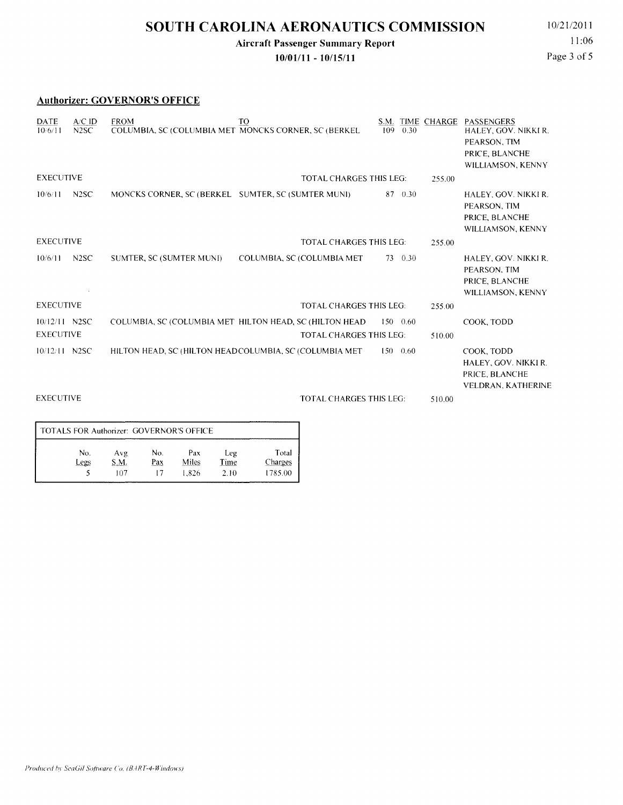### **SOUTH CAROLINA AERONAUTICS COMMISSION** 10/21/2011

### **Aircraft Passenger Summary Report**

**10/01/11 - 10/15/11** 

11:06 Page 3 of 5

#### **Authorizer: GOVERNOR'S OFFICE**

| DATE<br>10/6/11                   | $A/C$ ID<br>N <sub>2</sub> SC | <b>FROM</b><br>COLUMBIA, SC (COLUMBIA MET MONCKS CORNER, SC (BERKEL | TO                                                                                        | S.M.<br>0.30<br>109 | TIME CHARGE | PASSENGERS<br>HALEY, GOV. NIKKI R.<br>PEARSON, TIM<br>PRICE, BLANCHE<br>WILLIAMSON, KENNY |
|-----------------------------------|-------------------------------|---------------------------------------------------------------------|-------------------------------------------------------------------------------------------|---------------------|-------------|-------------------------------------------------------------------------------------------|
| <b>EXECUTIVE</b>                  |                               |                                                                     | <b>TOTAL CHARGES THIS LEG:</b>                                                            |                     | 255.00      |                                                                                           |
| 10/6/11                           | N <sub>2</sub> SC             | MONCKS CORNER, SC (BERKEL SUMTER, SC (SUMTER MUNI)                  |                                                                                           | 0.30<br>87          |             | HALEY, GOV. NIKKI R.<br>PEARSON, TIM<br>PRICE, BLANCHE<br>WILLIAMSON, KENNY               |
| <b>EXECUTIVE</b>                  |                               |                                                                     | <b>TOTAL CHARGES THIS LEG:</b>                                                            |                     | 255.00      |                                                                                           |
| 10/6/11                           | N <sub>2</sub> SC             | SUMTER, SC (SUMTER MUNI)                                            | COLUMBIA, SC (COLUMBIA MET                                                                | 0.30<br>73          |             | HALEY, GOV. NIKKI R.<br>PEARSON, TIM<br>PRICE, BLANCHE<br>WILLIAMSON, KENNY               |
| <b>EXECUTIVE</b>                  |                               |                                                                     | <b>TOTAL CHARGES THIS LEG:</b>                                                            |                     | 255.00      |                                                                                           |
| 10/12/11 N2SC<br><b>EXECUTIVE</b> |                               |                                                                     | COLUMBIA, SC (COLUMBIA MET HILTON HEAD, SC (HILTON HEAD<br><b>TOTAL CHARGES THIS LEG:</b> | $150 - 0.60$        | 510.00      | COOK. TODD                                                                                |
| $10/12/11$ N2SC                   |                               | HILTON HEAD, SC (HILTON HEADCOLUMBIA, SC (COLUMBIA MET)             |                                                                                           | $150 - 0.60$        |             | COOK, TODD<br>HALEY, GOV. NIKKI R.<br>PRICE, BLANCHE<br>VELDRAN, KATHERINE                |
| <b>EXECUTIVE</b>                  |                               |                                                                     | <b>TOTAL CHARGES THIS LEG:</b>                                                            |                     | 510.00      |                                                                                           |

| TOTALS FOR Authorizer: GOVERNOR'S OFFICE |                    |            |                       |                     |                             |  |  |  |  |
|------------------------------------------|--------------------|------------|-----------------------|---------------------|-----------------------------|--|--|--|--|
| No.<br>Legs                              | Avg<br>S.M.<br>107 | No.<br>Pax | Pax<br>Miles<br>1.826 | Leg<br>Time<br>2.10 | Total<br>Charges<br>1785.00 |  |  |  |  |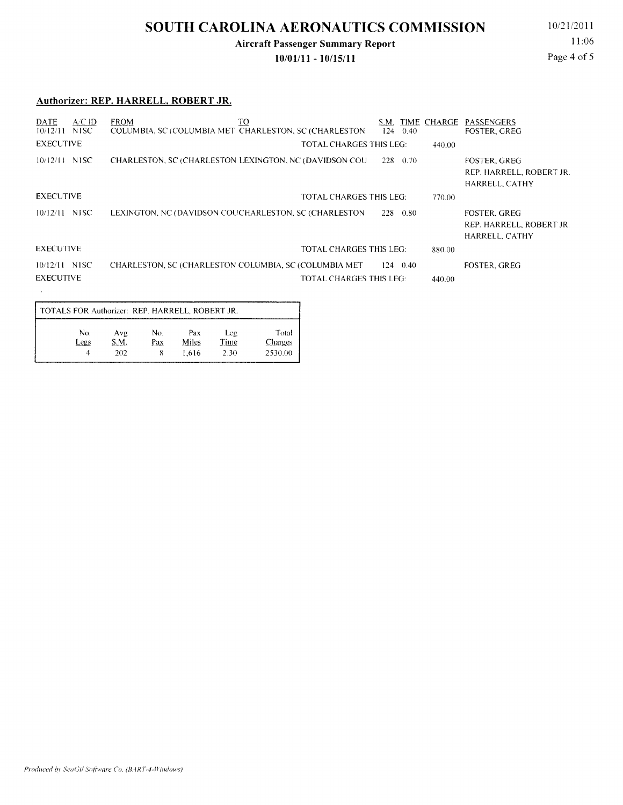## **SOUTH CAROLINA AERONAUTICS COMMISSION** 10/21/2011

### **Aircraft Passenger Summary Report**

**10/01/11 - 10/15/11** 

11:06 Page 4 of 5

#### **Authorizer: REP. HARRELL, ROBERT JR.**

| $AC$ ID<br><b>DATE</b> | TO<br><b>FROM</b>                                      | S.M.             | TIME CHARGE | PASSENGERS                                                        |
|------------------------|--------------------------------------------------------|------------------|-------------|-------------------------------------------------------------------|
| NISC.<br>10/12/11      | COLUMBIA, SC (COLUMBIA MET CHARLESTON, SC (CHARLESTON) | 124<br>0.40      |             | <b>FOSTER, GREG</b>                                               |
| <b>EXECUTIVE</b>       | <b>TOTAL CHARGES THIS LEG:</b>                         |                  | 440.00      |                                                                   |
| $10/12/11$ NISC        | CHARLESTON, SC (CHARLESTON LEXINGTON, NC (DAVIDSON COU | $228 \t0.70$     |             | <b>FOSTER, GREG</b><br>REP. HARRELL, ROBERT JR.<br>HARRELL, CATHY |
| <b>EXECUTIVE</b>       | TOTAL CHARGES THIS LEG:                                |                  | 770.00      |                                                                   |
| $10/12/11$ NISC        | LEXINGTON, NC (DAVIDSON COUCHARLESTON, SC (CHARLESTON  | 228 0.80         |             | <b>FOSTER, GREG</b><br>REP. HARRELL, ROBERT JR.<br>HARRELL, CATHY |
| <b>EXECUTIVE</b>       | <b>TOTAL CHARGES THIS LEG:</b>                         |                  | 880.00      |                                                                   |
| $10/12/11$ NISC        | CHARLESTON, SC (CHARLESTON COLUMBIA, SC (COLUMBIA MET) | $124 \quad 0.40$ |             | <b>FOSTER, GREG</b>                                               |
| <b>EXECUTIVE</b>       | <b>TOTAL CHARGES THIS LEG:</b>                         |                  | 440.00      |                                                                   |
|                        |                                                        |                  |             |                                                                   |

| TOTALS FOR Authorizer: REP. HARRELL, ROBERT JR. |      |     |       |       |         |  |  |  |  |
|-------------------------------------------------|------|-----|-------|-------|---------|--|--|--|--|
| No.                                             | Avg  | No. | Pax   | Leg   | Total   |  |  |  |  |
| Legs                                            | S.M. | Pax | Miles | Time. | Charges |  |  |  |  |
| 4                                               | 202  |     | 1.616 | 2.30  | 2530.00 |  |  |  |  |